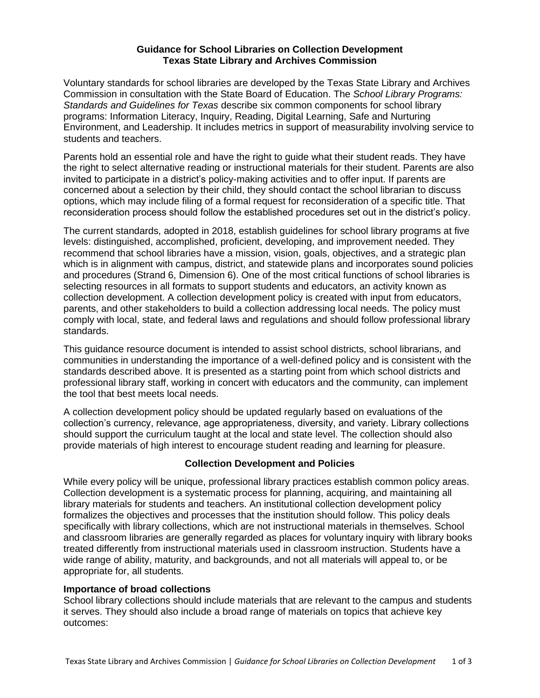### **Guidance for School Libraries on Collection Development Texas State Library and Archives Commission**

Voluntary standards for school libraries are developed by the Texas State Library and Archives Commission in consultation with the State Board of Education. The *School Library Programs: Standards and Guidelines for Texas* describe six common components for school library programs: Information Literacy, Inquiry, Reading, Digital Learning, Safe and Nurturing Environment, and Leadership. It includes metrics in support of measurability involving service to students and teachers.

Parents hold an essential role and have the right to guide what their student reads. They have the right to select alternative reading or instructional materials for their student. Parents are also invited to participate in a district's policy-making activities and to offer input. If parents are concerned about a selection by their child, they should contact the school librarian to discuss options, which may include filing of a formal request for reconsideration of a specific title. That reconsideration process should follow the established procedures set out in the district's policy.

The current standards, adopted in 2018, establish guidelines for school library programs at five levels: distinguished, accomplished, proficient, developing, and improvement needed. They recommend that school libraries have a mission, vision, goals, objectives, and a strategic plan which is in alignment with campus, district, and statewide plans and incorporates sound policies and procedures (Strand 6, Dimension 6). One of the most critical functions of school libraries is selecting resources in all formats to support students and educators, an activity known as collection development. A collection development policy is created with input from educators, parents, and other stakeholders to build a collection addressing local needs. The policy must comply with local, state, and federal laws and regulations and should follow professional library standards.

This guidance resource document is intended to assist school districts, school librarians, and communities in understanding the importance of a well-defined policy and is consistent with the standards described above. It is presented as a starting point from which school districts and professional library staff, working in concert with educators and the community, can implement the tool that best meets local needs.

A collection development policy should be updated regularly based on evaluations of the collection's currency, relevance, age appropriateness, diversity, and variety. Library collections should support the curriculum taught at the local and state level. The collection should also provide materials of high interest to encourage student reading and learning for pleasure.

# **Collection Development and Policies**

While every policy will be unique, professional library practices establish common policy areas. Collection development is a systematic process for planning, acquiring, and maintaining all library materials for students and teachers. An institutional collection development policy formalizes the objectives and processes that the institution should follow. This policy deals specifically with library collections, which are not instructional materials in themselves. School and classroom libraries are generally regarded as places for voluntary inquiry with library books treated differently from instructional materials used in classroom instruction. Students have a wide range of ability, maturity, and backgrounds, and not all materials will appeal to, or be appropriate for, all students.

### **Importance of broad collections**

School library collections should include materials that are relevant to the campus and students it serves. They should also include a broad range of materials on topics that achieve key outcomes: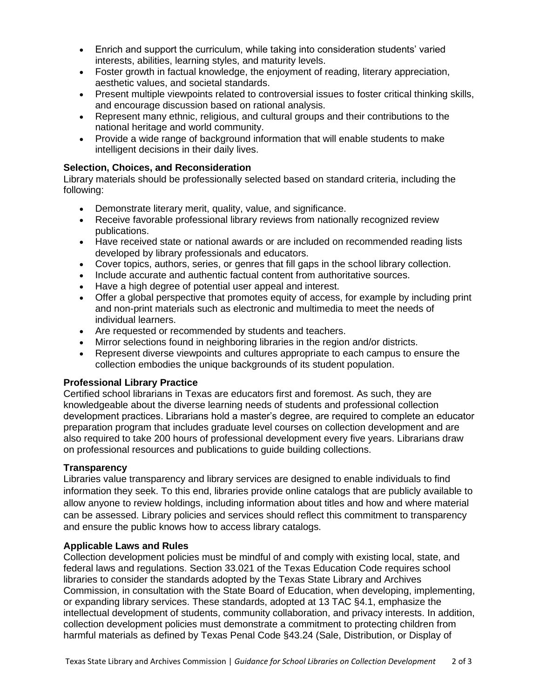- Enrich and support the curriculum, while taking into consideration students' varied interests, abilities, learning styles, and maturity levels.
- Foster growth in factual knowledge, the enjoyment of reading, literary appreciation, aesthetic values, and societal standards.
- Present multiple viewpoints related to controversial issues to foster critical thinking skills, and encourage discussion based on rational analysis.
- Represent many ethnic, religious, and cultural groups and their contributions to the national heritage and world community.
- Provide a wide range of background information that will enable students to make intelligent decisions in their daily lives.

# **Selection, Choices, and Reconsideration**

Library materials should be professionally selected based on standard criteria, including the following:

- Demonstrate literary merit, quality, value, and significance.
- Receive favorable professional library reviews from nationally recognized review publications.
- Have received state or national awards or are included on recommended reading lists developed by library professionals and educators.
- Cover topics, authors, series, or genres that fill gaps in the school library collection.
- Include accurate and authentic factual content from authoritative sources.
- Have a high degree of potential user appeal and interest.
- Offer a global perspective that promotes equity of access, for example by including print and non-print materials such as electronic and multimedia to meet the needs of individual learners.
- Are requested or recommended by students and teachers.
- Mirror selections found in neighboring libraries in the region and/or districts.
- Represent diverse viewpoints and cultures appropriate to each campus to ensure the collection embodies the unique backgrounds of its student population.

### **Professional Library Practice**

Certified school librarians in Texas are educators first and foremost. As such, they are knowledgeable about the diverse learning needs of students and professional collection development practices. Librarians hold a master's degree, are required to complete an educator preparation program that includes graduate level courses on collection development and are also required to take 200 hours of professional development every five years. Librarians draw on professional resources and publications to guide building collections.

### **Transparency**

Libraries value transparency and library services are designed to enable individuals to find information they seek. To this end, libraries provide online catalogs that are publicly available to allow anyone to review holdings, including information about titles and how and where material can be assessed. Library policies and services should reflect this commitment to transparency and ensure the public knows how to access library catalogs.

### **Applicable Laws and Rules**

Collection development policies must be mindful of and comply with existing local, state, and federal laws and regulations. Section 33.021 of the Texas Education Code requires school libraries to consider the standards adopted by the Texas State Library and Archives Commission, in consultation with the State Board of Education, when developing, implementing, or expanding library services. These standards, adopted at 13 TAC §4.1, emphasize the intellectual development of students, community collaboration, and privacy interests. In addition, collection development policies must demonstrate a commitment to protecting children from harmful materials as defined by Texas Penal Code §43.24 (Sale, Distribution, or Display of